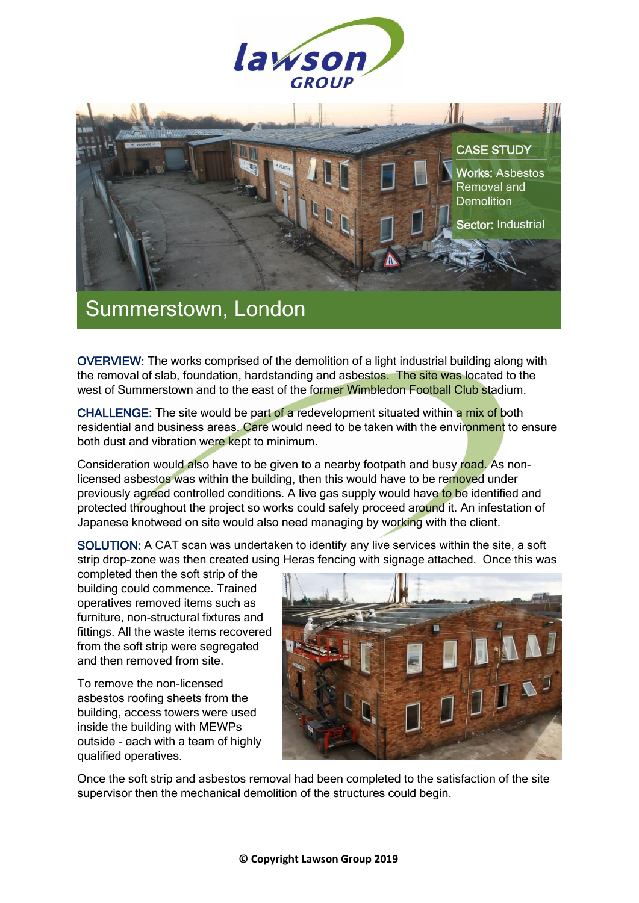



## Summerstown, London

OVERVIEW: The works comprised of the demolition of a light industrial building along with the removal of slab, foundation, hardstanding and asbestos. The site was located to the west of Summerstown and to the east of the former Wimbledon Football Club stadium.

CHALLENGE: The site would be part of a redevelopment situated within a mix of both residential and business areas. Care would need to be taken with the environment to ensure both dust and vibration were kept to minimum.

Consideration would also have to be given to a nearby footpath and busy road. As nonlicensed asbestos was within the building, then this would have to be removed under previously agreed controlled conditions. A live gas supply would have to be identified and protected throughout the project so works could safely proceed around it. An infestation of Japanese knotweed on site would also need managing by working with the client.

SOLUTION: A CAT scan was undertaken to identify any live services within the site, a soft strip drop-zone was then created using Heras fencing with signage attached. Once this was

completed then the soft strip of the building could commence. Trained operatives removed items such as furniture, non-structural fixtures and fittings. All the waste items recovered from the soft strip were segregated and then removed from site.

To remove the non-licensed asbestos roofing sheets from the building, access towers were used inside the building with MEWPs outside - each with a team of highly qualified operatives.



Once the soft strip and asbestos removal had been completed to the satisfaction of the site supervisor then the mechanical demolition of the structures could begin.